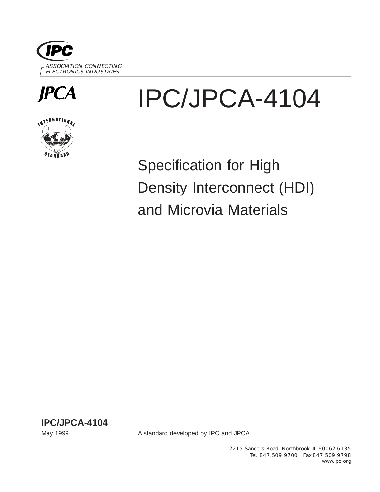



# INTERNATIONAL

# IPC/JPCA-4104

Specification for High Density Interconnect (HDI) and Microvia Materials

**IPC/JPCA-4104**

May 1999 May 1999 A standard developed by IPC and JPCA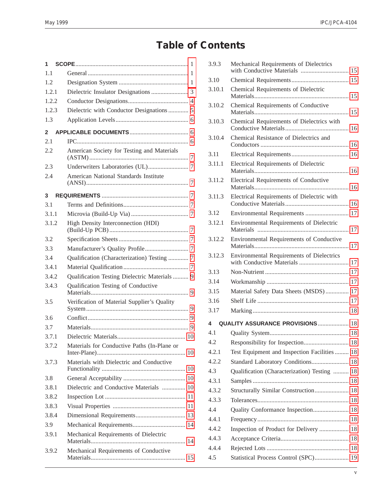## **Table of Contents**

| 1            |                                               |
|--------------|-----------------------------------------------|
| 1.1          |                                               |
| 1.2          |                                               |
| 1.2.1        |                                               |
| 1.2.2        |                                               |
| 1.2.3        | Dielectric with Conductor Designations  5     |
| 1.3          |                                               |
| $\mathbf{2}$ |                                               |
| 2.1          |                                               |
| 2.2          | American Society for Testing and Materials    |
| 2.3          |                                               |
| 2.4          | American National Standards Institute         |
| 3            |                                               |
| 3.1          |                                               |
| 3.1.1        |                                               |
| 3.1.2        | High Density Interconnection (HDI)            |
| 3.2          |                                               |
| 3.3          |                                               |
| 3.4          | Qualification (Characterization) Testing  7   |
| 3.4.1        |                                               |
| 3.4.2        | Qualification Testing Dielectric Materials  9 |
| 3.4.3        | Qualification Testing of Conductive           |
| 3.5          | Verification of Material Supplier's Quality   |
| 3.6          |                                               |
| 3.7          |                                               |
| 3.7.1        |                                               |
| 3.7.2        | Materials for Conductive Paths (In-Plane or   |
| 3.7.3        | Materials with Dielectric and Conductive      |
| 3.8          |                                               |
| 3.8.1        | Dielectric and Conductive Materials  10       |
| 3.8.2        |                                               |
| 3.8.3        |                                               |
| 3.8.4        |                                               |
| 3.9          |                                               |
| 3.9.1        | Mechanical Requirements of Dielectric         |
| 3.9.2        | Mechanical Requirements of Conductive         |

| 3.9.3  | Mechanical Requirements of Dielectrics<br>with Conductive Materials  15 |  |
|--------|-------------------------------------------------------------------------|--|
| 3.10   |                                                                         |  |
| 3.10.1 | Chemical Requirements of Dielectric                                     |  |
| 3.10.2 | Chemical Requirements of Conductive                                     |  |
| 3.10.3 | Chemical Requirements of Dielectrics with                               |  |
| 3.10.4 | Chemical Resistance of Dielectrics and                                  |  |
| 3.11   |                                                                         |  |
| 3.11.1 | Electrical Requirements of Dielectric                                   |  |
| 3.11.2 | Electrical Requirements of Conductive                                   |  |
| 3.11.3 | Electrical Requirements of Dielectric with                              |  |
| 3.12   | Environmental Requirements  17                                          |  |
| 3.12.1 | Environmental Requirements of Dielectric                                |  |
| 3.12.2 | Environmental Requirements of Conductive                                |  |
| 3.12.3 | Environmental Requirements of Dielectrics                               |  |
| 3.13   |                                                                         |  |
| 3.14   |                                                                         |  |
| 3.15   | Material Safety Data Sheets (MSDS) 17                                   |  |
| 3.16   |                                                                         |  |
| 3.17   |                                                                         |  |
| 4      | <b>QUALITY ASSURANCE PROVISIONS  18</b>                                 |  |
| 4.1    |                                                                         |  |
| 4.2    |                                                                         |  |
| 4.2.1  | Test Equipment and Inspection Facilities  18                            |  |
| 4.2.2  | Standard Laboratory Conditions 18                                       |  |
| 4.3    | Qualification (Characterization) Testing  18                            |  |
| 4.3.1  |                                                                         |  |
| 4.3.2  | Structurally Similar Construction 18                                    |  |
| 4.3.3  |                                                                         |  |
| 4.4    | Quality Conformance Inspection 18                                       |  |
| 4.4.1  |                                                                         |  |
| 4.4.2  | Inspection of Product for Delivery  18                                  |  |
| 4.4.3  |                                                                         |  |
| 4.4.4  |                                                                         |  |
| 4.5    | Statistical Process Control (SPC) 19                                    |  |
|        |                                                                         |  |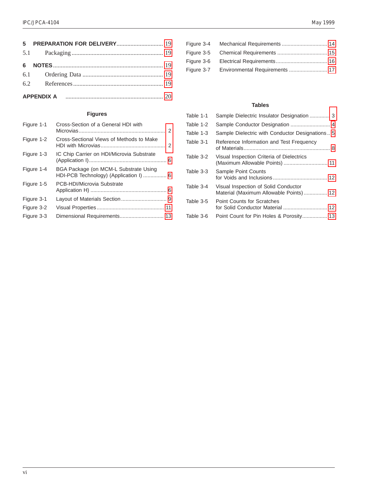| 6 |  |
|---|--|
|   |  |
|   |  |
|   |  |

#### **Figures**

| Figure 1-1 | Cross-Section of a General HDI with                                             |  |
|------------|---------------------------------------------------------------------------------|--|
| Figure 1-2 | Cross-Sectional Views of Methods to Make                                        |  |
| Figure 1-3 | IC Chip Carrier on HDI/Microvia Substrate                                       |  |
| Figure 1-4 | BGA Package (on MCM-L Substrate Using<br>HDI-PCB Technology) (Application I)  6 |  |
| Figure 1-5 | PCB-HDI/Microvia Substrate                                                      |  |
| Figure 3-1 |                                                                                 |  |
| Figure 3-2 |                                                                                 |  |
| Figure 3-3 |                                                                                 |  |
|            |                                                                                 |  |

| Figure 3-6 |  |
|------------|--|
|            |  |
|            |  |

#### **Tables**

| Table 1-1 | Sample Dielectric Insulator Designation  3                                     |
|-----------|--------------------------------------------------------------------------------|
| Table 1-2 |                                                                                |
| Table 1-3 | Sample Dielectric with Conductor Designations 5                                |
| Table 3-1 | Reference Information and Test Frequency                                       |
| Table 3-2 | Visual Inspection Criteria of Dielectrics                                      |
| Table 3-3 | Sample Point Counts                                                            |
| Table 3-4 | Visual Inspection of Solid Conductor<br>Material (Maximum Allowable Points) 12 |
| Table 3-5 | <b>Point Counts for Scratches</b>                                              |
| Table 3-6 | Point Count for Pin Holes & Porosity 13                                        |